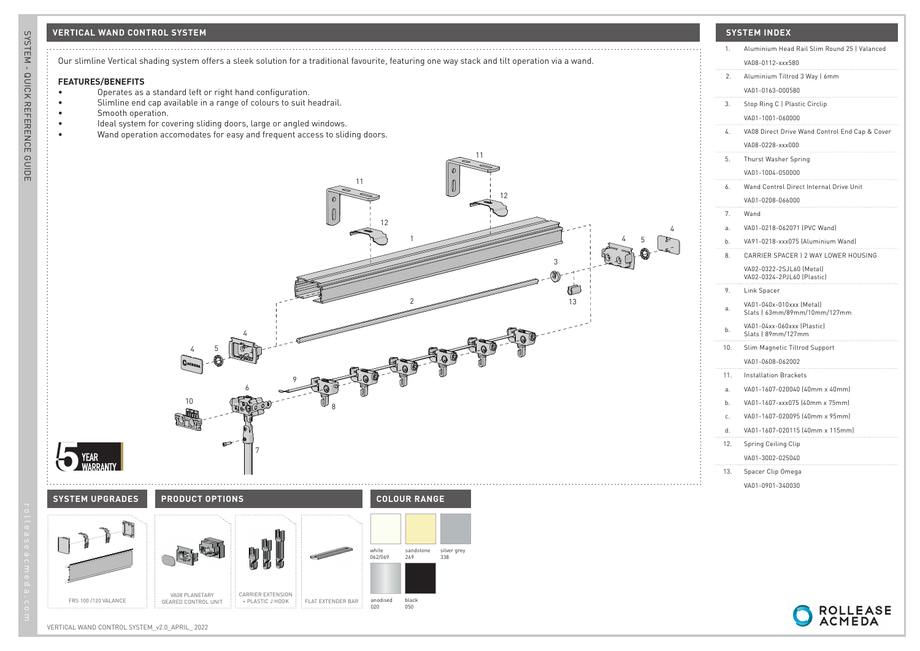### **VERTICAL WAND CONTROL SYSTEM SYSTEM INDEX**



### **FEATURES/BENEFITS**

- Operates as a standard left or right hand configuration.
- Slimline end cap available in a range of colours to suit headrail.
- Smooth operation.
- Ideal system for covering sliding doors, large or angled windows.
- Wand operation accomodates for easy and frequent access to sliding doors.

**SYSTEM UPGRADES COLOUR RANGE PRODUCT OPTIONS**

CARRIER EXTENSION<br>+ PLASTIC J HOOK

FLAT EXTENDER BAR

white 062/069

anodised 020

silver grey 338

sandstone 269

black 050



4

| 1.  | Aluminium Head Rail Slim Round 25   Valanced<br>VA08-0112-xxx580 |
|-----|------------------------------------------------------------------|
| 2.  | Aluminium Tiltrod 3 Way   6mm                                    |
|     | VA01-0163-000580                                                 |
| 3.  | Stop Ring C   Plastic Circlip                                    |
|     | VA01-1001-060000                                                 |
| 4.  | VA08 Direct Drive Wand Control End Cap & Cover                   |
|     | VA08-0228-xxx000                                                 |
| 5.  | Thurst Washer Spring                                             |
|     | VA01-1004-050000                                                 |
| 6.  | Wand Control Direct Internal Drive Unit                          |
|     | VA01-0208-066000                                                 |
| 7.  | Wand                                                             |
| a.  | VA01-0218-062071 [PVC Wand]                                      |
| b.  | VA91-0218-xxx075 (Aluminium Wand)                                |
| 8.  | CARRIER SPACER   2 WAY LOWER HOUSING                             |
|     | VA02-0322-2SJL60 (Metal)<br>VA02-0324-2PJL60 (Plastic)           |
| 9.  | Link Spacer                                                      |
| a.  | VA01-040x-010xxx (Metal)<br>Slats   63mm/89mm/10mm/127mm         |
| b.  | VA01-04xx-060xxx (Plastic)<br>Slats   89mm/127mm                 |
| 10. | Slim Magnetic Tiltrod Support                                    |
|     | VA01-0608-062002                                                 |
| 11. | <b>Installation Brackets</b>                                     |
| a.  | VA01-1607-020040 (40mm x 40mm)                                   |
| b.  | VA01-1607-xxx075 (40mm x 75mm)                                   |
| c.  | VA01-1607-020095 (40mm x 95mm)                                   |
| d.  | VA01-1607-020115 (40mm x 115mm)                                  |
| 12. | Spring Ceiling Clip                                              |
|     | VA01-3002-025040                                                 |
| 13. | Spacer Clip Omega                                                |
|     | VA01-0901-340030                                                 |
|     |                                                                  |



VA08 PLANETARY GEARED CONTROL UNIT

FRS 100 /120 VALANCE